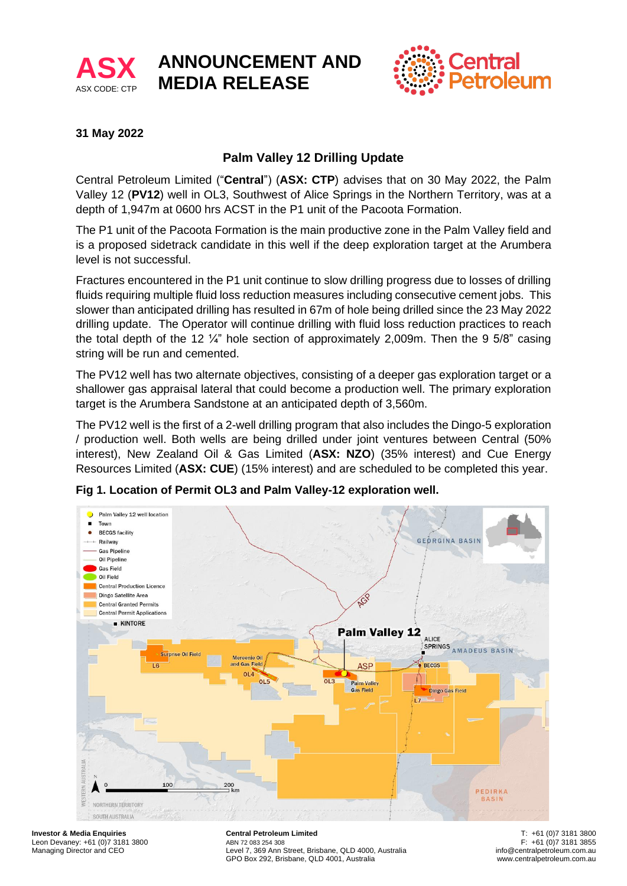

# **ANNOUNCEMENT AND MEDIA RELEASE**



## **31 May 2022**

## **Palm Valley 12 Drilling Update**

Central Petroleum Limited ("**Central**") (**ASX: CTP**) advises that on 30 May 2022, the Palm Valley 12 (**PV12**) well in OL3, Southwest of Alice Springs in the Northern Territory, was at a depth of 1,947m at 0600 hrs ACST in the P1 unit of the Pacoota Formation.

The P1 unit of the Pacoota Formation is the main productive zone in the Palm Valley field and is a proposed sidetrack candidate in this well if the deep exploration target at the Arumbera level is not successful.

Fractures encountered in the P1 unit continue to slow drilling progress due to losses of drilling fluids requiring multiple fluid loss reduction measures including consecutive cement jobs. This slower than anticipated drilling has resulted in 67m of hole being drilled since the 23 May 2022 drilling update. The Operator will continue drilling with fluid loss reduction practices to reach the total depth of the 12  $\frac{1}{4}$ " hole section of approximately 2,009m. Then the 9 5/8" casing string will be run and cemented.

The PV12 well has two alternate objectives, consisting of a deeper gas exploration target or a shallower gas appraisal lateral that could become a production well. The primary exploration target is the Arumbera Sandstone at an anticipated depth of 3,560m.

The PV12 well is the first of a 2-well drilling program that also includes the Dingo-5 exploration / production well. Both wells are being drilled under joint ventures between Central (50% interest), New Zealand Oil & Gas Limited (**ASX: NZO**) (35% interest) and Cue Energy Resources Limited (**ASX: CUE**) (15% interest) and are scheduled to be completed this year.

**Fig 1. Location of Permit OL3 and Palm Valley-12 exploration well.**



**Investor & Media Enquiries** Leon Devaney: +61 (0)7 3181 3800 Managing Director and CEO

**Central Petroleum Limited** ABN 72 083 254 308. Level 7, 369 Ann Street, Brisbane, QLD 4000, Australia GPO Box 292, Brisbane, QLD 4001, Australia

T: +61 (0)7 3181 3800 F: +61 (0)7 3181 3855 info@centralpetroleum.com.au www.centralpetroleum.com.au